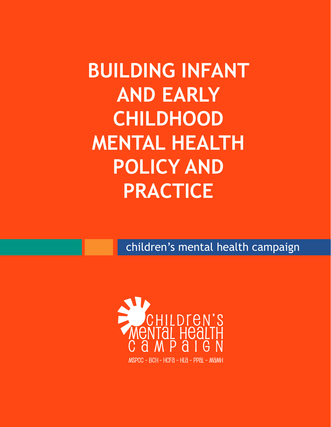## **BUILDING INFANT AND EARLY CHILDHOOD MENTAL HEALTH POLICY AND PRACTICE**

children's mental health campaign

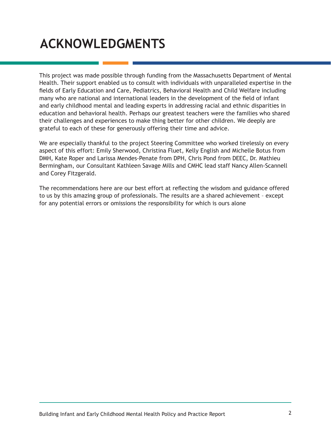## **ACKNOWLEDGMENTS**

This project was made possible through funding from the Massachusetts Department of Mental Health. Their support enabled us to consult with individuals with unparalleled expertise in the fields of Early Education and Care, Pediatrics, Behavioral Health and Child Welfare including many who are national and international leaders in the development of the field of infant and early childhood mental and leading experts in addressing racial and ethnic disparities in education and behavioral health. Perhaps our greatest teachers were the families who shared their challenges and experiences to make thing better for other children. We deeply are grateful to each of these for generously offering their time and advice.

We are especially thankful to the project Steering Committee who worked tirelessly on every aspect of this effort: Emily Sherwood, Christina Fluet, Kelly English and Michelle Botus from DMH, Kate Roper and Larissa Mendes-Penate from DPH, Chris Pond from DEEC, Dr. Mathieu Bermingham, our Consultant Kathleen Savage Mills and CMHC lead staff Nancy Allen-Scannell and Corey Fitzgerald.

The recommendations here are our best effort at reflecting the wisdom and guidance offered to us by this amazing group of professionals. The results are a shared achievement – except for any potential errors or omissions the responsibility for which is ours alone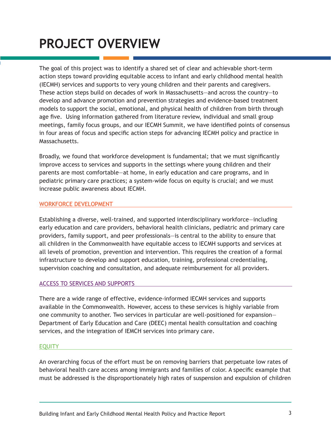## **PROJECT OVERVIEW**

The goal of this project was to identify a shared set of clear and achievable short-term action steps toward providing equitable access to infant and early childhood mental health (IECMH) services and supports to very young children and their parents and caregivers. These action steps build on decades of work in Massachusetts—and across the country—to develop and advance promotion and prevention strategies and evidence-based treatment models to support the social, emotional, and physical health of children from birth through age five. Using information gathered from literature review, individual and small group meetings, family focus groups, and our IECMH Summit, we have identified points of consensus in four areas of focus and specific action steps for advancing IECMH policy and practice in Massachusetts.

Broadly, we found that workforce development is fundamental; that we must significantly improve access to services and supports in the settings where young children and their parents are most comfortable—at home, in early education and care programs, and in pediatric primary care practices; a system-wide focus on equity is crucial; and we must increase public awareness about IECMH.

#### WORKFORCE DEVELOPMENT

Establishing a diverse, well-trained, and supported interdisciplinary workforce—including early education and care providers, behavioral health clinicians, pediatric and primary care providers, family support, and peer professionals—is central to the ability to ensure that all children in the Commonwealth have equitable access to IECMH supports and services at all levels of promotion, prevention and intervention. This requires the creation of a formal infrastructure to develop and support education, training, professional credentialing, supervision coaching and consultation, and adequate reimbursement for all providers.

#### ACCESS TO SERVICES AND SUPPORTS

There are a wide range of effective, evidence-informed IECMH services and supports available in the Commonwealth. However, access to these services is highly variable from one community to another. Two services in particular are well-positioned for expansion— Department of Early Education and Care (DEEC) mental health consultation and coaching services, and the integration of IEMCH services into primary care.

#### EQUITY

An overarching focus of the effort must be on removing barriers that perpetuate low rates of behavioral health care access among immigrants and families of color. A specific example that must be addressed is the disproportionately high rates of suspension and expulsion of children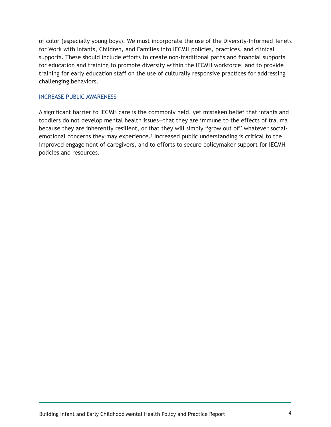of color (especially young boys). We must incorporate the use of the Diversity-Informed Tenets for Work with Infants, Children, and Families into IECMH policies, practices, and clinical supports. These should include efforts to create non-traditional paths and financial supports for education and training to promote diversity within the IECMH workforce, and to provide training for early education staff on the use of culturally responsive practices for addressing challenging behaviors.

#### INCREASE PUBLIC AWARENESS

A significant barrier to IECMH care is the commonly held, yet mistaken belief that infants and toddlers do not develop mental health issues—that they are immune to the effects of trauma because they are inherently resilient, or that they will simply "grow out of" whatever socialemotional concerns they may experience.<sup>1</sup> Increased public understanding is critical to the improved engagement of caregivers, and to efforts to secure policymaker support for IECMH policies and resources.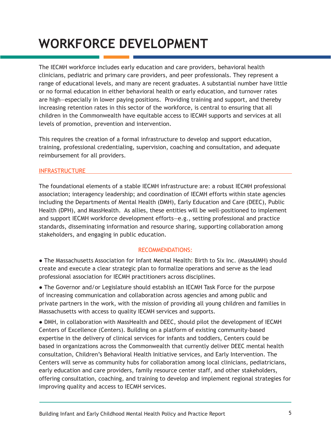## **WORKFORCE DEVELOPMENT**

The IECMH workforce includes early education and care providers, behavioral health clinicians, pediatric and primary care providers, and peer professionals. They represent a range of educational levels, and many are recent graduates. A substantial number have little or no formal education in either behavioral health or early education, and turnover rates are high—especially in lower paying positions. Providing training and support, and thereby increasing retention rates in this sector of the workforce, is central to ensuring that all children in the Commonwealth have equitable access to IECMH supports and services at all levels of promotion, prevention and intervention.

This requires the creation of a formal infrastructure to develop and support education, training, professional credentialing, supervision, coaching and consultation, and adequate reimbursement for all providers.

#### INFRASTRUCTURE

The foundational elements of a stable IECMH infrastructure are: a robust IECMH professional association; interagency leadership; and coordination of IECMH efforts within state agencies including the Departments of Mental Health (DMH), Early Education and Care (DEEC), Public Health (DPH), and MassHealth. As allies, these entities will be well-positioned to implement and support IECMH workforce development efforts—e.g., setting professional and practice standards, disseminating information and resource sharing, supporting collaboration among stakeholders, and engaging in public education.

#### RECOMMENDATIONS:

● The Massachusetts Association for Infant Mental Health: Birth to Six Inc. (MassAIMH) should create and execute a clear strategic plan to formalize operations and serve as the lead professional association for IECMH practitioners across disciplines.

• The Governor and/or Legislature should establish an IECMH Task Force for the purpose of increasing communication and collaboration across agencies and among public and private partners in the work, with the mission of providing all young children and families in Massachusetts with access to quality IECMH services and supports.

● DMH, in collaboration with MassHealth and DEEC, should pilot the development of IECMH Centers of Excellence (Centers). Building on a platform of existing community-based expertise in the delivery of clinical services for infants and toddlers, Centers could be based in organizations across the Commonwealth that currently deliver DEEC mental health consultation, Children's Behavioral Health Initiative services, and Early Intervention. The Centers will serve as community hubs for collaboration among local clinicians, pediatricians, early education and care providers, family resource center staff, and other stakeholders, offering consultation, coaching, and training to develop and implement regional strategies for improving quality and access to IECMH services.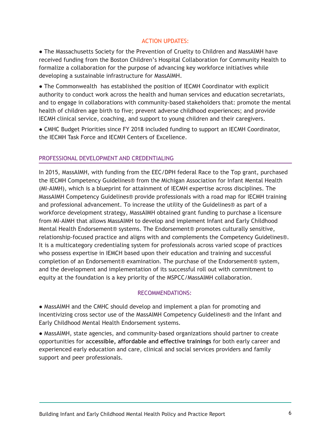#### ACTION UPDATES:

• The Massachusetts Society for the Prevention of Cruelty to Children and MassAIMH have received funding from the Boston Children's Hospital Collaboration for Community Health to formalize a collaboration for the purpose of advancing key workforce initiatives while developing a sustainable infrastructure for MassAIMH.

● The Commonwealth has established the position of IECMH Coordinator with explicit authority to conduct work across the health and human services and education secretariats, and to engage in collaborations with community-based stakeholders that: promote the mental health of children age birth to five; prevent adverse childhood experiences; and provide IECMH clinical service, coaching, and support to young children and their caregivers.

● CMHC Budget Priorities since FY 2018 included funding to support an IECMH Coordinator, the IECMH Task Force and IECMH Centers of Excellence.

#### PROFESSIONAL DEVELOPMENT AND CREDENTIALING

In 2015, MassAIMH, with funding from the EEC/DPH federal Race to the Top grant, purchased the IECMH Competency Guidelines® from the Michigan Association for Infant Mental Health (MI-AIMH), which is a blueprint for attainment of IECMH expertise across disciplines. The MassAIMH Competency Guidelines® provide professionals with a road map for IECMH training and professional advancement. To increase the utility of the Guidelines® as part of a workforce development strategy, MassAIMH obtained grant funding to purchase a licensure from MI-AIMH that allows MassAIMH to develop and implement Infant and Early Childhood Mental Health Endorsement® systems. The Endorsement® promotes culturally sensitive, relationship-focused practice and aligns with and complements the Competency Guidelines®. It is a multicategory credentialing system for professionals across varied scope of practices who possess expertise in IEMCH based upon their education and training and successful completion of an Endorsement® examination. The purchase of the Endorsement® system, and the development and implementation of its successful roll out with commitment to equity at the foundation is a key priority of the MSPCC/MassAIMH collaboration.

#### RECOMMENDATIONS:

• MassAIMH and the CMHC should develop and implement a plan for promoting and incentivizing cross sector use of the MassAIMH Competency Guidelines® and the Infant and Early Childhood Mental Health Endorsement systems.

● MassAIMH, state agencies, and community-based organizations should partner to create opportunities for a**ccessible, affordable and effective trainings** for both early career and experienced early education and care, clinical and social services providers and family support and peer professionals.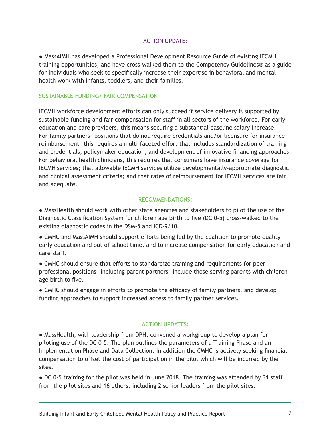#### ACTION UPDATE:

● MassAIMH has developed a Professional Development Resource Guide of existing IECMH training opportunities, and have cross-walked them to the Competency Guidelines® as a guide for individuals who seek to specifically increase their expertise in behavioral and mental health work with infants, toddlers, and their families.

#### SUSTAINABLE FUNDING/ FAIR COMPENSATION

IECMH workforce development efforts can only succeed if service delivery is supported by sustainable funding and fair compensation for staff in all sectors of the workforce. For early education and care providers, this means securing a substantial baseline salary increase. For family partners—positions that do not require credentials and/or licensure for insurance reimbursement—this requires a multi-faceted effort that includes standardization of training and credentials, policymaker education, and development of innovative financing approaches. For behavioral health clinicians, this requires that consumers have insurance coverage for IECMH services; that allowable IECMH services utilize developmentally-appropriate diagnostic and clinical assessment criteria; and that rates of reimbursement for IECMH services are fair and adequate.

#### RECOMMENDATIONS:

● MassHealth should work with other state agencies and stakeholders to pilot the use of the Diagnostic Classification System for children age birth to five (DC 0-5) cross-walked to the existing diagnostic codes in the DSM-5 and ICD-9/10.

• CMHC and MassAIMH should support efforts being led by the coalition to promote quality early education and out of school time, and to increase compensation for early education and care staff.

● CMHC should ensure that efforts to standardize training and requirements for peer professional positions—including parent partners—include those serving parents with children age birth to five.

● CMHC should engage in efforts to promote the efficacy of family partners, and develop funding approaches to support increased access to family partner services.

#### ACTION UPDATES:

● MassHealth, with leadership from DPH, convened a workgroup to develop a plan for piloting use of the DC 0-5. The plan outlines the parameters of a Training Phase and an Implementation Phase and Data Collection. In addition the CMHC is actively seeking financial compensation to offset the cost of participation in the pilot which will be incurred by the sites.

● DC 0-5 training for the pilot was held in June 2018. The training was attended by 31 staff from the pilot sites and 16 others, including 2 senior leaders from the pilot sites.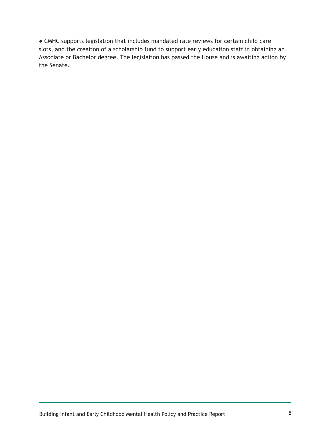● CMHC supports legislation that includes mandated rate reviews for certain child care slots, and the creation of a scholarship fund to support early education staff in obtaining an Associate or Bachelor degree. The legislation has passed the House and is awaiting action by the Senate.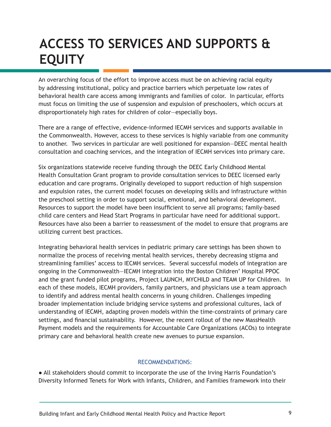## **ACCESS TO SERVICES AND SUPPORTS & EQUITY**

An overarching focus of the effort to improve access must be on achieving racial equity by addressing institutional, policy and practice barriers which perpetuate low rates of behavioral health care access among immigrants and families of color. In particular, efforts must focus on limiting the use of suspension and expulsion of preschoolers, which occurs at disproportionately high rates for children of color—especially boys.

There are a range of effective, evidence-informed IECMH services and supports available in the Commonwealth. However, access to these services is highly variable from one community to another. Two services in particular are well positioned for expansion—DEEC mental health consultation and coaching services, and the integration of IECMH services into primary care.

Six organizations statewide receive funding through the DEEC Early Childhood Mental Health Consultation Grant program to provide consultation services to DEEC licensed early education and care programs. Originally developed to support reduction of high suspension and expulsion rates, the current model focuses on developing skills and infrastructure within the preschool setting in order to support social, emotional, and behavioral development. Resources to support the model have been insufficient to serve all programs; family-based child care centers and Head Start Programs in particular have need for additional support. Resources have also been a barrier to reassessment of the model to ensure that programs are utilizing current best practices.

Integrating behavioral health services in pediatric primary care settings has been shown to normalize the process of receiving mental health services, thereby decreasing stigma and streamlining families' access to IECMH services. Several successful models of integration are ongoing in the Commonwealth—IECMH integration into the Boston Children' Hospital PPOC and the grant funded pilot programs, Project LAUNCH, MYCHILD and TEAM UP for Children. In each of these models, IECMH providers, family partners, and physicians use a team approach to identify and address mental health concerns in young children. Challenges impeding broader implementation include bridging service systems and professional cultures, lack of understanding of IECMH, adapting proven models within the time-constraints of primary care settings, and financial sustainability. However, the recent rollout of the new MassHealth Payment models and the requirements for Accountable Care Organizations (ACOs) to integrate primary care and behavioral health create new avenues to pursue expansion.

#### RECOMMENDATIONS:

● All stakeholders should commit to incorporate the use of the Irving Harris Foundation's Diversity Informed Tenets for Work with Infants, Children, and Families framework into their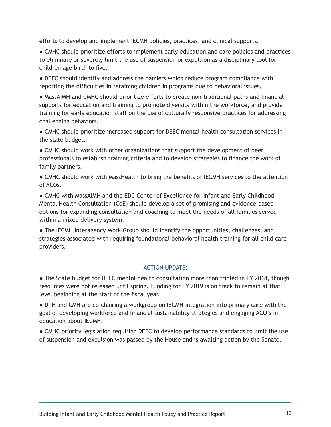efforts to develop and implement IECMH policies, practices, and clinical supports.

● CMHC should prioritize efforts to implement early education and care policies and practices to eliminate or severely limit the use of suspension or expulsion as a disciplinary tool for children age birth to five.

● DEEC should identify and address the barriers which reduce program compliance with reporting the difficulties in retaining children in programs due to behavioral issues.

● MassAIMH and CMHC should prioritize efforts to create non-traditional paths and financial supports for education and training to promote diversity within the workforce, and provide training for early education staff on the use of culturally responsive practices for addressing challenging behaviors.

● CMHC should prioritize increased support for DEEC mental health consultation services in the state budget.

● CMHC should work with other organizations that support the development of peer professionals to establish training criteria and to develop strategies to finance the work of family partners.

● CMHC should work with MassHealth to bring the benefits of IECMH services to the attention of ACOs.

● CMHC with MassAIMH and the EDC Center of Excellence for Infant and Early Childhood Mental Health Consultation (CoE) should develop a set of promising and evidence-based options for expanding consultation and coaching to meet the needs of all families served within a mixed delivery system.

● The IECMH Interagency Work Group should identify the opportunities, challenges, and strategies associated with requiring foundational behavioral health training for all child care providers.

#### ACTION UPDATE:

• The State budget for DEEC mental health consultation more than tripled in FY 2018, though resources were not released until spring. Funding for FY 2019 is on track to remain at that level beginning at the start of the fiscal year.

● DPH and CMH are co-chairing a workgroup on IECMH integration into primary care with the goal of developing workforce and financial sustainability strategies and engaging ACO's in education about IECMH.

● CMHC priority legislation requiring DEEC to develop performance standards to limit the use of suspension and expulsion was passed by the House and is awaiting action by the Senate.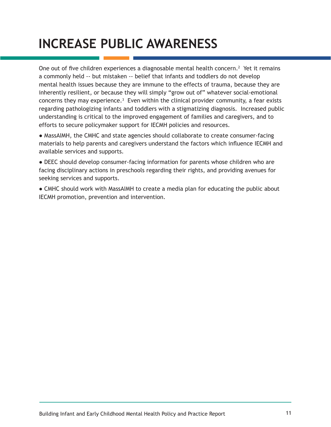## **INCREASE PUBLIC AWARENESS**

One out of five children experiences a diagnosable mental health concern.<sup>2</sup> Yet it remains a commonly held -- but mistaken -- belief that infants and toddlers do not develop mental health issues because they are immune to the effects of trauma, because they are inherently resilient, or because they will simply "grow out of" whatever social-emotional concerns they may experience. $3$  Even within the clinical provider community, a fear exists regarding pathologizing infants and toddlers with a stigmatizing diagnosis. Increased public understanding is critical to the improved engagement of families and caregivers, and to efforts to secure policymaker support for IECMH policies and resources.

● MassAIMH, the CMHC and state agencies should collaborate to create consumer-facing materials to help parents and caregivers understand the factors which influence IECMH and available services and supports.

● DEEC should develop consumer-facing information for parents whose children who are facing disciplinary actions in preschools regarding their rights, and providing avenues for seeking services and supports.

● CMHC should work with MassAIMH to create a media plan for educating the public about IECMH promotion, prevention and intervention.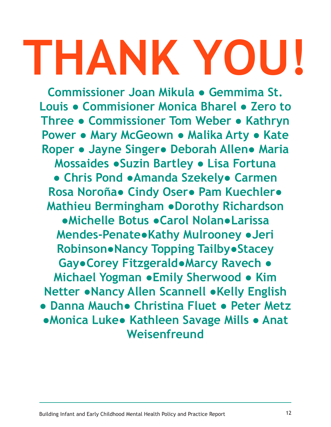# **THANK YOU!**

**Commissioner Joan Mikula ● Gemmima St. Louis ● Commisioner Monica Bharel ● Zero to Three ● Commissioner Tom Weber ● Kathryn Power ● Mary McGeown ● Malika Arty ● Kate Roper ● Jayne Singer● Deborah Allen● Maria Mossaides ●Suzin Bartley ● Lisa Fortuna ● Chris Pond ●Amanda Szekely● Carmen Rosa Noroña● Cindy Oser● Pam Kuechler● Mathieu Bermingham ●Dorothy Richardson ●Michelle Botus ●Carol Nolan●Larissa Mendes-Penate●Kathy Mulrooney ●Jeri Robinson●Nancy Topping Tailby●Stacey Gay●Corey Fitzgerald●Marcy Ravech ● Michael Yogman ●Emily Sherwood ● Kim Netter ●Nancy Allen Scannell ●Kelly English ● Danna Mauch● Christina Fluet ● Peter Metz ●Monica Luke● Kathleen Savage Mills ● Anat Weisenfreund**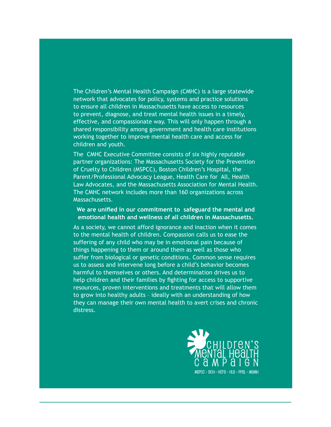The Children's Mental Health Campaign (CMHC) is a large statewide network that advocates for policy, systems and practice solutions to ensure all children in Massachusetts have access to resources to prevent, diagnose, and treat mental health issues in a timely, effective, and compassionate way. This will only happen through a shared responsibility among government and health care institutions working together to improve mental health care and access for children and youth.

The CMHC Executive Committee consists of six highly reputable partner organizations: The Massachusetts Society for the Prevention of Cruelty to Children (MSPCC), Boston Children's Hospital, the Parent/Professional Advocacy League, Health Care for All, Health Law Advocates, and the Massachusetts Association for Mental Health. The CMHC network includes more than 160 organizations across Massachusetts.

#### **We are unified in our commitment to safeguard the mental and emotional health and wellness of all children in Massachusetts.**

As a society, we cannot afford ignorance and inaction when it comes to the mental health of children. Compassion calls us to ease the suffering of any child who may be in emotional pain because of things happening to them or around them as well as those who suffer from biological or genetic conditions. Common sense requires us to assess and intervene long before a child's behavior becomes harmful to themselves or others. And determination drives us to help children and their families by fighting for access to supportive resources, proven interventions and treatments that will allow them to grow into healthy adults – ideally with an understanding of how they can manage their own mental health to avert crises and chronic distress.